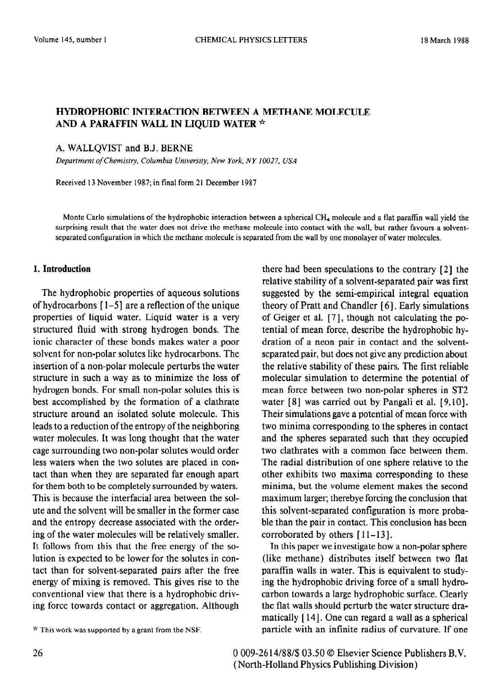# HYDROPHOBIC INTERACTION BETWEEN A METHANE MOLECULE AND A PARAFFIN WALL IN LIQUID WATER  $\dot{\mathbf{r}}$

#### A. WALLQVIST and B.J. BERNE

*Department of Chemistry, Columbia Univerxty, New York, NY 10027, USA* 

Received 13 November 1987; in final form 21 December 1987

Monte Carlo simulations of the hydrophobic interaction between a spherical CH<sub>4</sub> molecule and a flat paraffin wall yield the surprising result that the water does not drive the methane molecule into contact with the wall, but rather favours a solventseparated configuration in which the methane molecule is separated from the wall by one monolayer of water molecules.

## 1. Introduction

The hydrophobic properties of aqueous solutions of hydrocarbons  $\lceil 1-5 \rceil$  are a reflection of the unique properties of liquid water. Liquid water is a very structured fluid with strong hydrogen bonds. The ionic character of these bonds makes water a poor solvent for non-polar solutes like hydrocarbons. The insertion of a non-polar molecule perturbs the water structure in such a way as to minimize the loss of hydrogen bonds. For small non-polar solutes this is best accomplished by the formation of a clathrate structure around an isolated solute molecule. This leads to a reduction of the entropy of the neighboring water molecules. It was long thought that the water cage surrounding two non-polar solutes would order less waters when the two solutes are placed in contact than when they are separated far enough apart for them both to be completely surrounded by waters. This is because the interfacial area between the solute and the solvent will be smaller in the former case and the entropy decrease associated with the ordering of the water molecules will be relatively smaller. It follows from this that the free energy of the solution is expected to be lower for the solutes in contact than for solvent-separated pairs after the free energy of mixing is removed. This gives rise to the conventional view that there is a hydrophobic driving force towards contact or aggregation. Although

there had been speculations to the contrary [2] the relative stability of a solvent-separated pair was first suggested by the semi-empirical integral equation theory of Pratt and Chandler [ 61. Early simulations of Geiger et al.  $[7]$ , though not calculating the potential of mean force, describe the hydrophobic hydration of a neon pair in contact and the solventseparated pair, but does not give any prediction about the relative stability of these pairs. The first reliable molecular simulation to determine the potential of mean force between two non-polar spheres in ST2 water  $[8]$  was carried out by Pangali et al.  $[9,10]$ . Their simulations gave a potential of mean force with two minima corresponding to the spheres in contact and the spheres separated such that they occupied two clathrates with a common face between them. The radial distribution of one sphere relative to the other exhibits two maxima corresponding to these minima, but the volume element makes the second maximum larger; therebye forcing the conclusion that this solvent-separated configuration is more probable than the pair in contact. This conclusion has been corroborated by others [11-13].

In this paper we investigate how a non-polar sphere (like methane) distributes itself between two flat paraffin walls in water. This is equivalent to studying the hydrophobic driving force of a small hydrocarbon towards a large hydrophobic surface. Clearly the flat walls should perturb the water structure dramatically [ 141. One can regard a wall as a spherical particle with an infinite radius of curvature. If one

26 0 009-26 14/88/\$03.50 0 Elsevier Science Publishers B.V. (North-Holland Physics Publishing Division)

 $*$  This work was supported by a grant from the NSF.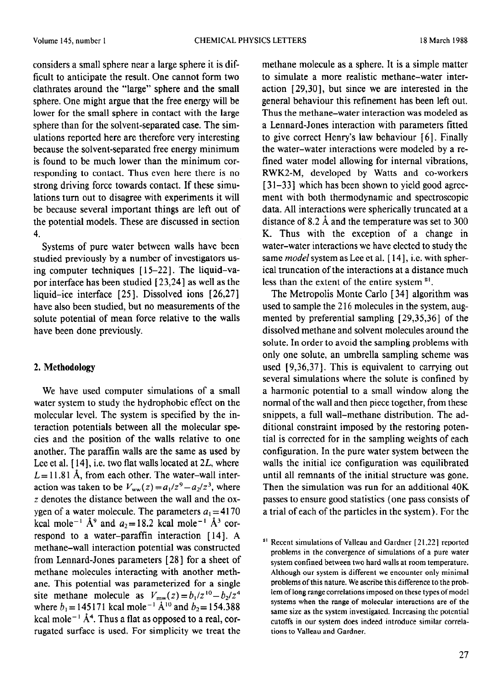considers a small sphere near a large sphere it is difficult to anticipate the result. One cannot form two clathrates around the "large" sphere and the small sphere. One might argue that the free energy will be lower for the small sphere in contact with the large sphere than for the solvent-separated case. The simulations reported here are therefore very interesting because the solvent-separated free energy minimum is found to be much lower than the minimum corresponding to contact. Thus even here there is no strong driving force towards contact. If these simulations turn out to disagree with experiments it will be because several important things are left out of the potential models. These are discussed in section 4.

Systems of pure water between walls have been studied previously by a number of investigators using computer techniques [ 15-221. The liquid-vapor interface has been studied [ 23,241 as well as the liquid-ice interface [25]. Dissolved ions [26,27] have also been studied, but no measurements of the solute potential of mean force relative to the walls have been done previously.

## 2. Methodology

We have used computer simulations of a small water system to study the hydrophobic effect on the molecular level. The system is specified by the interaction potentials between all the molecular species and the position of the walls relative to one another. The paraffin walls are the same as used by Lee et al.  $[14]$ , i.e. two flat walls located at  $2L$ , where  $L= 11.81$  Å, from each other. The water-wall interaction was taken to be  $V_{ww}(z) = a_1/z^9 - a_2/z^3$ , where z denotes the distance between the wall and the oxygen of a water molecule. The parameters  $a_1 = 4170$ kcal mole<sup>-1</sup>  $\AA^9$  and  $a_2=18.2$  kcal mole<sup>-1</sup>  $\AA^3$  correspond to a water-paraffin interaction [ 141. A methane-wall interaction potential was constructed from Lennard-Jones parameters [ 281 for a sheet of methane molecules interacting with another methane. This potential was parameterized for a single site methane molecule as  $V_{\text{mw}}(z) = b_1/z^{10} - b_2/z^4$ where  $b_1 = 145171$  kcal mole<sup>-1</sup>  $\AA^{10}$  and  $b_2 = 154.388$ kcal mole<sup>-1</sup>  $\AA^4$ . Thus a flat as opposed to a real, corrugated surface is used. For simplicity we treat the methane molecule as a sphere. It is a simple matter to simulate a more realistic methane-water interaction [29,30], but since we are interested in the general behaviour this refinement has been left out. Thus the methane-water interaction was modeled as a Lennard-Jones interaction with parameters fitted to give correct Henry's law behaviour [6]. Finally the water-water interactions were modeled by a refined water model allowing for internal vibrations, RWK2-M, developed by Watts and co-workers [31-33] which has been shown to yield good agreement with both thermodynamic and spectroscopic data. All interactions were spherically truncated at a distance of 8.2 Å and the temperature was set to  $300$ K. Thus with the exception of a change in water-water interactions we have elected to study the same *model* system as Lee et al. [14], i.e. with spherical truncation of the interactions at a distance much less than the extent of the entire system #I.

The Metropolis Monte Carlo [34] algorithm was used to sample the 2 16 molecules in the system, augmented by preferential sampling [29,35,36] of the dissolved methane and solvent molecules around the solute. In order to avoid the sampling problems with only one solute, an umbrella sampling scheme was used [ 9,36,37]. This is equivalent to carrying out several simulations where the solute is confined by a harmonic potential to a small window along the normal of the wall and then piece together, from these snippets, a full wall-methane distribution. The additional constraint imposed by the restoring potential is corrected for in the sampling weights of each configuration. In the pure water system between the walls the initial ice configuration was equilibrated until all remnants of the initial structure was gone. Then the simulation was run for an additional 40K passes to ensure good statistics (one pass consists of a trial of each of the particles in the system). For the

 $*$ <sup>1</sup> Recent simulations of Valleau and Gardner [21,22] reported problems in the convergence of simulations of a pure water system confined between two hard walls at room temperature. Although our system is different we encounter only minimal problems of this nature. We ascribe this difference to the problem of long range correlations imposed on these types of model systems when the range of molecular interactions are of the same size as the system investigated. Increasing the potential cutoffs in our system does indeed introduce similar correlations to Valleau and Gardner.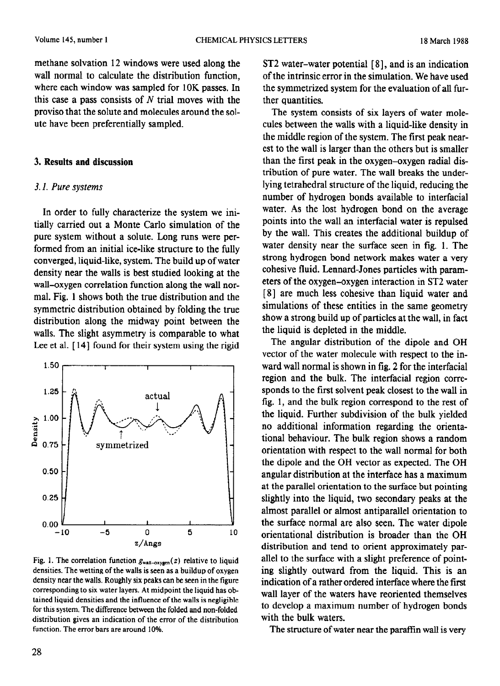methane solvation 12 windows were used along the wall normal to calculate the distribution function, where each window was sampled for IOK passes. In this case a pass consists of  $N$  trial moves with the proviso that the solute and molecules around the solute have been preferentially sampled.

# 3. **Results and discussion**

#### 3.1. *Pure systems*

In order to fully characterize the system we initially carried out a Monte Carlo simulation of the pure system without a solute. Long runs were performed from an initial ice-like structure to the fully converged, liquid-like, system. The build up of water density near the walls is best studied looking at the wall-oxygen correlation function along the wall normal. Fig. 1 shows both the true distribution and the symmetric distribution obtained by folding the true distribution along the midway point between the walls. The slight asymmetry is comparable to what Lee et al. [14] found for their system using the rigid



Fig. 1. The correlation function  $g_{wall-oxygen}(z)$  relative to liquid densities. The wetting of the walls is seen as a buildup of oxygen density near the walls. Roughly six peaks can be seen in the figure corresponding to six water layers. At midpoint the liquid has obtained liquid densities and the influence of the walls is negligible for this system. The difference between the folded and non-folded distribution gives an indication of the error of the distribution function. The error bars are around 10%.

 $ST2$  water-water potential  $[8]$ , and is an indication of the intrinsic error in the simulation. We have used the symmetrized system for the evaluation of all further quantities.

The system consists of six layers of water molecules between the walls with a liquid-like density in the middle region of the system. The first peak nearest to the wall is larger than the others but is smaller than the first peak in the oxygen-oxygen radial distribution of pure water. The wall breaks the underlying tetrahedral structure of the liquid, reducing the number of hydrogen bonds available to interfacial water. As the lost hydrogen bond on the average points into the wall an interfacial water is repulsed by the wall. This creates the additional buildup of water density near the surface seen in fig. 1. The strong hydrogen bond network makes water a very cohesive fluid. Lennard-Jones particles with parameters of the oxygen-oxygen interaction in ST2 water [8] are much less cohesive than liquid water and simulations of these entities in the same geometry show a strong build up of particles at the wall, in fact the liquid is depleted in the middle.

The angular distribution of the dipole and OH vector of the water molecule with respect to the inward wall normal is shown in fig. 2 for the interfacial region and the bulk. The interfacial region corresponds to the first solvent peak closest to the wall in fig. 1, and the bulk region correspond to the rest of the liquid. Further subdivision of the bulk yielded no additional information regarding the orientational behaviour. The bulk region shows a random orientation with respect to the wall normal for both the dipole and the OH vector as expected. The OH angular distribution at the interface has a maximum at the parallel orientation to the surface but pointing slightly into the liquid, two secondary peaks at the almost parallel or almost antiparallel orientation to the surface normal are also seen. The water dipole orientational distribution is broader than the OH distribution and tend to orient approximately parallel to the surface with a slight preference of pointing slightly outward from the liquid. This is an indication of a rather ordered interface where the first wall layer of the waters have reoriented themselves to develop a maximum number of hydrogen bonds with the bulk waters.

The structure of water near the paraffin wall is very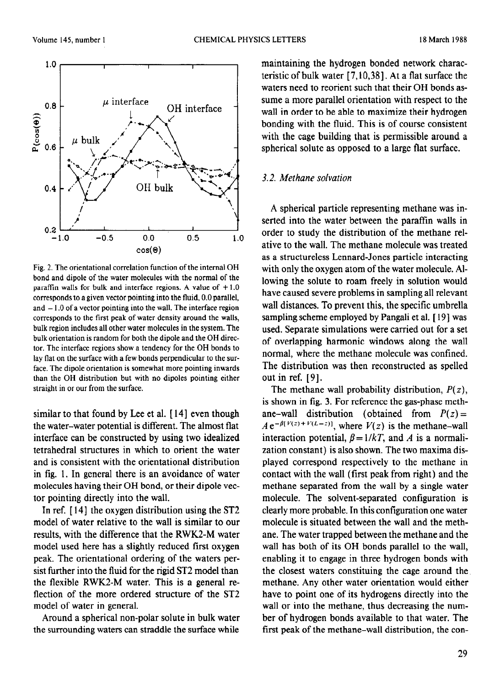

Fig. 2. The orientational correlation function of the internal OH bond and dipole of the water molecules with the normal of the paraffin walls for bulk and interface regions. A value of  $+1.0$ corresponds to a given vector pointing into the fluid, 0.0 parallel, and  $-1.0$  of a vector pointing into the wall. The interface region corresponds to the first peak of water density around the walls, bulk region includes all other water molecules in the system. The bulk orientation is random for both the dipole and the OH director. The interface regions show a tendency for the OH bonds to lay flat on the surface with a few bonds perpendicular to the surface. The dipole orientation is somewhat more pointing inwards than the OH distribution but with no dipoles pointing either straight in or our from the surface.

similar to that found by Lee et al. [14] even though the water-water potential is different. The almost flat interface can be constructed by using two idealized tetrahedral structures in which to orient the water and is consistent with the orientational distribution in fig. 1. In general there is an avoidance of water molecules having their OH bond, or their dipole vector pointing directly into the wall.

In ref.  $[14]$  the oxygen distribution using the ST2 model of water relative to the wall is similar to our results, with the difference that the RWK2-M water model used here has a slightly reduced first oxygen peak. The orientational ordering of the waters persist further into the fluid for the rigid ST2 model than the flexible RWK2-M water. This is a general reflection of the more ordered structure of the ST2 model of water in general.

Around a spherical non-polar solute in bulk water the surrounding waters can straddle the surface while

maintaining the hydrogen bonded network characteristic of bulk water [ 7,10,38]. At a flat surface the waters need to reorient such that their OH bonds assume a more parallel orientation with respect to the wall in order to be able to maximize their hydrogen bonding with the fluid. This is of course consistent with the cage building that is permissible around a spherical solute as opposed to a large flat surface.

### 3.2. *Methane solvation*

A spherical particle representing methane was inserted into the water between the paraffin walls in order to study the distribution of the methane relative to the wall. The methane molecule was treated as a structureless Lennard-Jones particle interacting with only the oxygen atom of the water molecule. Allowing the solute to roam freely in solution would have caused severe problems in sampling all relevant wall distances. To prevent this, the specific umbrella sampling scheme employed by Pangali et al. [19] was used. Separate simulations were carried out for a set of overlapping harmonic windows along the wall normal, where the methane molecule was confined. The distribution was then reconstructed as spelled out in ref. [ 91.

The methane wall probability distribution,  $P(z)$ , is shown in fig. 3. For reference the gas-phase methane-wall distribution (obtained from  $P(z) =$  $A e^{-\beta [V(z) + V(L-z)]}$ , where  $V(z)$  is the methane-wall interaction potential,  $\beta = 1/kT$ , and *A* is a normalization constant) is also shown. The two maxima displayed correspond respectively to the methane in contact with the wall (first peak from right) and the methane separated from the wall by a single water molecule. The solvent-separated configuration is clearly more probable. In this configuration one water molecule is situated between the wall and the methane. The water trapped between the methane and the wall has both of its OH bonds parallel to the wall, enabling it to engage in three hydrogen bonds with the closest waters constituing the cage around the methane. Any other water orientation would either have to point one of its hydrogens directly into the wall or into the methane, thus decreasing the number of hydrogen bonds available to that water. The first peak of the methane-wall distribution, the con-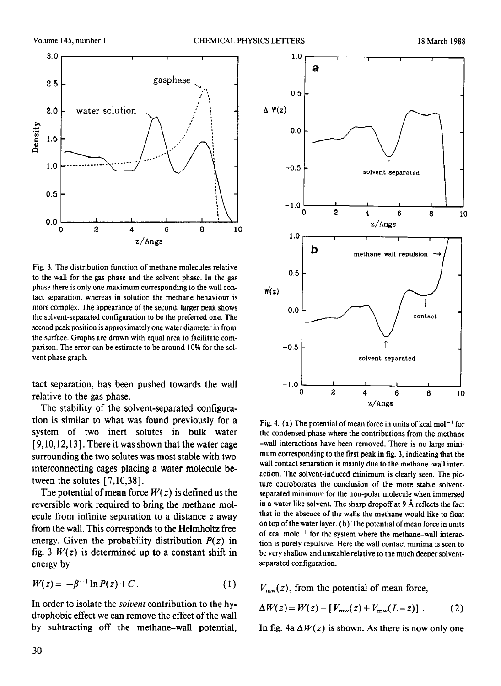

Fig. 3. The distribution function of methane molecules relative to the wall for the gas phase and the solvent phase. In the gas phase there is only one maximum corresponding to the wall contact separation, whereas in solution the methane behaviour is more complex. The appearance of the second, larger peak shows the solvent-separated configuration to be the preferred one. The second peak position is approximately one water diameter in from the surface. Graphs are drawn with equal area to facilitate comparison. The error can be estimate to be around 10% for the solvent phase graph.

tact separation, has been pushed towards the wall relative to the gas phase.

The stability of the solvent-separated configuration is similar to what was found previously for a system of two inert solutes in bulk water  $[9,10,12,13]$ . There it was shown that the water cage surrounding the two solutes was most stable with two interconnecting cages placing a water molecule between the solutes [ 7,10,38].

The potential of mean force  $W(z)$  is defined as the reversible work required to bring the methane molecule from infinite separation to a distance z away from the wall. This corresponds to the Helmholtz free energy. Given the probability distribution  $P(z)$  in fig. 3  $W(z)$  is determined up to a constant shift in energy by

$$
W(z) = -\beta^{-1} \ln P(z) + C. \tag{1}
$$

In order to isolate the *solvent* contribution to the hydrophobic effect we can remove the effect of the wall by subtracting off the methane-wall potential,



Fig. 4. (a) The potential of mean force in units of kcal mol<sup>-1</sup> for the condensed phase where the contributions from the methane -wall interactions have been removed. There is no large minimum corresponding to the first peak in fig. 3, indicating that the wall contact separation is mainly due to the methane-wall interaction. The solvent-induced minimum is clearly seen. The picture corroborates the conclusion of the more stable solventseparated minimum for the non-polar molecule when immersed in a water like solvent. The sharp dropoff at  $9 \text{ Å}$  reflects the fact that in the absence of the walls the methane would like to float on top of the water layer. (b) The potential of mean force in units of kcal mole-' for the system where the methane-wall interaction is purely repulsive. Here the wall contact minima is seen to be very shallow and unstable relative to the much deeper solventseparated configuration.

 $V_{\rm mw}(z)$ , from the potential of mean force,

$$
\Delta W(z) = W(z) - [V_{\text{mw}}(z) + V_{\text{mw}}(L - z)].
$$
 (2)

In fig. 4a  $\Delta W(z)$  is shown. As there is now only one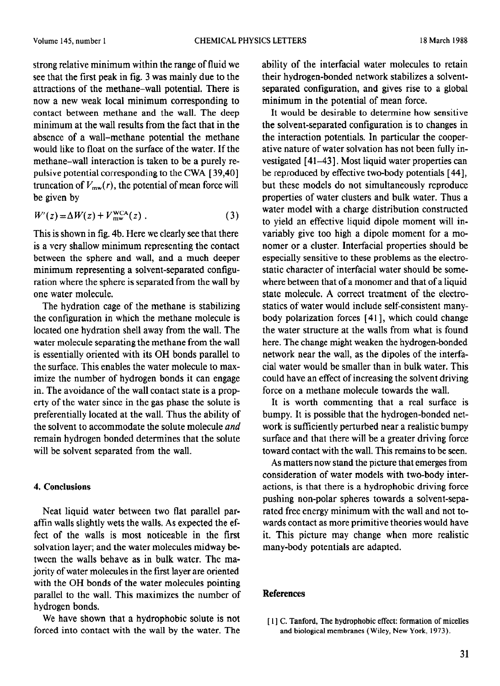strong relative minimum within the range of fluid we see that the first peak in fig. 3 was mainly due to the attractions of the methane-wall potential. There is now a new weak local minimum corresponding to contact between methane and the wall. The deep minimum at the wall results from the fact that in the absence of a wall-methane potential the methane would like to float on the surface of the water. If the methane-wall interaction is taken to be a purely repulsive potential corresponding to the CWA [39,40] truncation of  $V_{\text{mw}}(r)$ , the potential of mean force will be given by

$$
W'(z) = \Delta W(z) + V_{\text{mw}}^{\text{WCA}}(z) \tag{3}
$$

This is shown in fig. 4b. Here we clearly see that there is a very shallow minimum representing the contact between the sphere and wall, and a much deeper minimum representing a solvent-separated configuration where the sphere is separated from the wall by one water molecule.

The hydration cage of the methane is stabilizing the configuration in which the methane molecule is located one hydration shell away from the wall. The water molecule separating the methane from the wall is essentially oriented with its OH bonds parallel to the surface. This enables the water molecule to maximize the number of hydrogen bonds it can engage in. The avoidance of the wall contact state is a property of the water since in the gas phase the solute is preferentially located at the wall. Thus the ability of the solvent to accommodate the solute molecule and remain hydrogen bonded determines that the solute will be solvent separated from the wall.

#### 4. **Conclusions**

Neat liquid water between two flat parallel paraffin walls slightly wets the walls. As expected the effect of the walls is most noticeable in the first solvation layer; and the water molecules midway between the walls behave as in bulk water. The majority of water molecules in the first layer are oriented with the OH bonds of the water molecules pointing parallel to the wall. This maximizes the number of hydrogen bonds.

We have shown that a hydrophobic solute is not  $[1]$  C. Tanford, The hydrophobic effect: formation of micelles forced into contact with the wall by the water. The and biological membranes (Wiley, New York, 1973).

ability of the interfacial water molecules to retain their hydrogen-bonded network stabilizes a solventseparated configuration, and gives rise to a global minimum in the potential of mean force.

It would be desirable to determine how sensitive the solvent-separated configuration is to changes in the interaction potentials. In particular the cooperative nature of water solvation has not been fully investigated [41-431. Most liquid water properties can be reproduced by effective two-body potentials [44], but these models do not simultaneously reproduce properties of water clusters and bulk water. Thus a water model with a charge distribution constructed to yield an effective liquid dipole moment will invariably give too high a dipole moment for a monomer or a cluster. Interfacial properties should be especially sensitive to these problems as the electrostatic character of interfacial water should be somewhere between that of a monomer and that of a liquid state molecule. A correct treatment of the electrostatics of water would include self-consistent manybody polarization forces  $[41]$ , which could change the water structure at the walls from what is found here. The change might weaken the hydrogen-bonded network near the wall, as the dipoles of the interfacial water would be smaller than in bulk water. This could have an effect of increasing the solvent driving force on a methane molecule towards the wall.

It is worth commenting that a real surface is bumpy. It is possible that the hydrogen-bonded network is sufficiently perturbed near a realistic bumpy surface and that there will be a greater driving force toward contact with the wall. This remains to be seen.

As matters now stand the picture that emerges from consideration of water models with two-body interactions, is that there is a hydrophobic driving force pushing non-polar spheres towards a solvent-separated free energy minimum with the wall and not towards contact as more primitive theories would have it. This picture may change when more realistic many-body potentials are adapted.

#### **References**